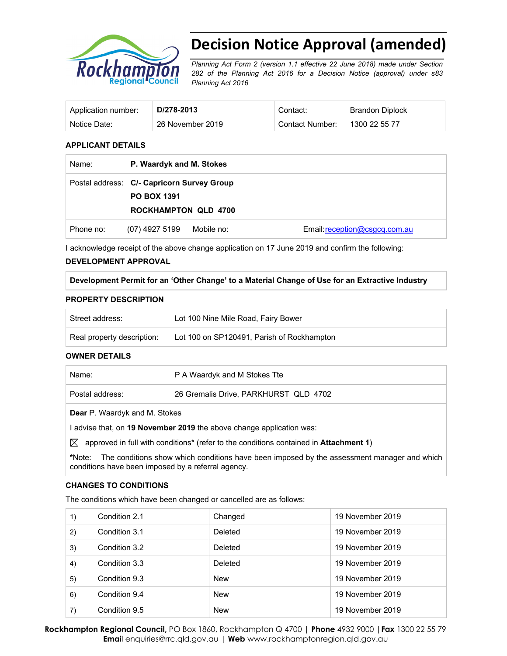

# **Decision Notice Approval (amended)**

*Planning Act Form 2 (version 1.1 effective 22 June 2018) made under Section 282 of the Planning Act 2016 for a Decision Notice (approval) under s83 Planning Act 2016* 

| Application number: | D/278-2013       | Contact:        | <b>Brandon Diplock</b> |
|---------------------|------------------|-----------------|------------------------|
| Notice Date:        | 26 November 2019 | Contact Number: | 1300 22 55 77          |

#### **APPLICANT DETAILS**

| Name:     | P. Waardyk and M. Stokes                                         |            |                               |
|-----------|------------------------------------------------------------------|------------|-------------------------------|
|           | Postal address: C/- Capricorn Survey Group<br><b>PO BOX 1391</b> |            |                               |
|           | <b>ROCKHAMPTON QLD 4700</b>                                      |            |                               |
| Phone no: | (07) 4927 5199                                                   | Mobile no: | Email: reception@csgcq.com.au |

I acknowledge receipt of the above change application on 17 June 2019 and confirm the following:

# **DEVELOPMENT APPROVAL**

**Development Permit for an 'Other Change' to a Material Change of Use for an Extractive Industry** 

#### **PROPERTY DESCRIPTION**

| Street address:            | Lot 100 Nine Mile Road, Fairy Bower        |
|----------------------------|--------------------------------------------|
| Real property description: | Lot 100 on SP120491, Parish of Rockhampton |

#### **OWNER DETAILS**

| Name:           | P A Waardyk and M Stokes Tte          |
|-----------------|---------------------------------------|
| Postal address: | 26 Gremalis Drive, PARKHURST QLD 4702 |
|                 |                                       |

**Dear** P. Waardyk and M. Stokes

I advise that, on **19 November 2019** the above change application was:

 $\boxtimes$  approved in full with conditions<sup>\*</sup> (refer to the conditions contained in **Attachment 1**)

**\***Note:The conditions show which conditions have been imposed by the assessment manager and which conditions have been imposed by a referral agency.

#### **CHANGES TO CONDITIONS**

The conditions which have been changed or cancelled are as follows:

| 1) | Condition 2.1 | Changed    | 19 November 2019 |
|----|---------------|------------|------------------|
| 2) | Condition 3.1 | Deleted    | 19 November 2019 |
| 3) | Condition 3.2 | Deleted    | 19 November 2019 |
| 4) | Condition 3.3 | Deleted    | 19 November 2019 |
| 5) | Condition 9.3 | <b>New</b> | 19 November 2019 |
| 6) | Condition 9.4 | <b>New</b> | 19 November 2019 |
| 7) | Condition 9.5 | <b>New</b> | 19 November 2019 |

**Rockhampton Regional Council,** PO Box 1860, Rockhampton Q 4700 | **Phone** 4932 9000 |**Fax** 1300 22 55 79 **Emai**l enquiries@rrc.qld.gov.au | **Web** www.rockhamptonregion.qld.gov.au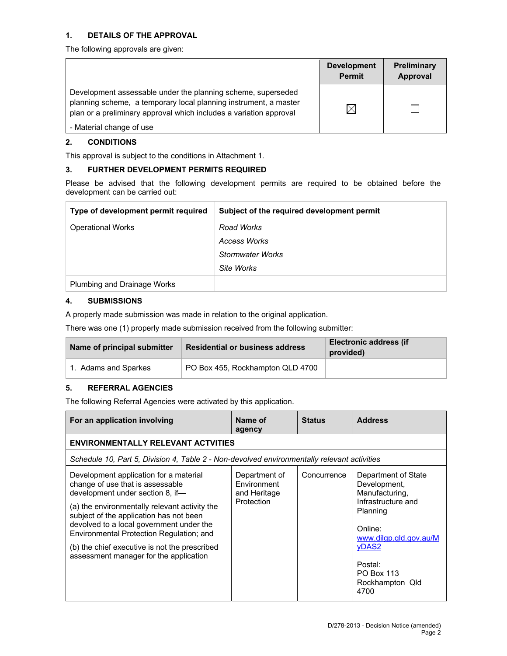# **1. DETAILS OF THE APPROVAL**

The following approvals are given:

|                                                                                                                                                                                                        | <b>Development</b><br><b>Permit</b> | Preliminary<br>Approval |
|--------------------------------------------------------------------------------------------------------------------------------------------------------------------------------------------------------|-------------------------------------|-------------------------|
| Development assessable under the planning scheme, superseded<br>planning scheme, a temporary local planning instrument, a master<br>plan or a preliminary approval which includes a variation approval | $\times$                            |                         |
| - Material change of use                                                                                                                                                                               |                                     |                         |

# **2. CONDITIONS**

This approval is subject to the conditions in Attachment 1.

# **3. FURTHER DEVELOPMENT PERMITS REQUIRED**

Please be advised that the following development permits are required to be obtained before the development can be carried out:

| Type of development permit required | Subject of the required development permit |
|-------------------------------------|--------------------------------------------|
| <b>Operational Works</b>            | Road Works                                 |
|                                     | Access Works                               |
|                                     | <b>Stormwater Works</b>                    |
|                                     | Site Works                                 |
| Plumbing and Drainage Works         |                                            |

# **4. SUBMISSIONS**

A properly made submission was made in relation to the original application.

There was one (1) properly made submission received from the following submitter:

| Name of principal submitter | <b>Residential or business address</b> | <b>Electronic address (if</b><br>provided) |
|-----------------------------|----------------------------------------|--------------------------------------------|
| 1. Adams and Sparkes        | PO Box 455, Rockhampton QLD 4700       |                                            |

# **5. REFERRAL AGENCIES**

The following Referral Agencies were activated by this application.

| For an application involving                                                                                                                                                                                                                                                                                                                                                                  | Name of<br>agency                                          | <b>Status</b> | <b>Address</b>                                                                                                                                                                                          |
|-----------------------------------------------------------------------------------------------------------------------------------------------------------------------------------------------------------------------------------------------------------------------------------------------------------------------------------------------------------------------------------------------|------------------------------------------------------------|---------------|---------------------------------------------------------------------------------------------------------------------------------------------------------------------------------------------------------|
| <b>ENVIRONMENTALLY RELEVANT ACTVITIES</b>                                                                                                                                                                                                                                                                                                                                                     |                                                            |               |                                                                                                                                                                                                         |
| Schedule 10, Part 5, Division 4, Table 2 - Non-devolved environmentally relevant activities                                                                                                                                                                                                                                                                                                   |                                                            |               |                                                                                                                                                                                                         |
| Development application for a material<br>change of use that is assessable<br>development under section 8, if-<br>(a) the environmentally relevant activity the<br>subject of the application has not been<br>devolved to a local government under the<br>Environmental Protection Regulation; and<br>(b) the chief executive is not the prescribed<br>assessment manager for the application | Department of<br>Environment<br>and Heritage<br>Protection | Concurrence   | Department of State<br>Development,<br>Manufacturing,<br>Infrastructure and<br>Planning<br>Online:<br>www.dilgp.qld.gov.au/M<br><b>vDAS2</b><br>Postal:<br><b>PO Box 113</b><br>Rockhampton Qld<br>4700 |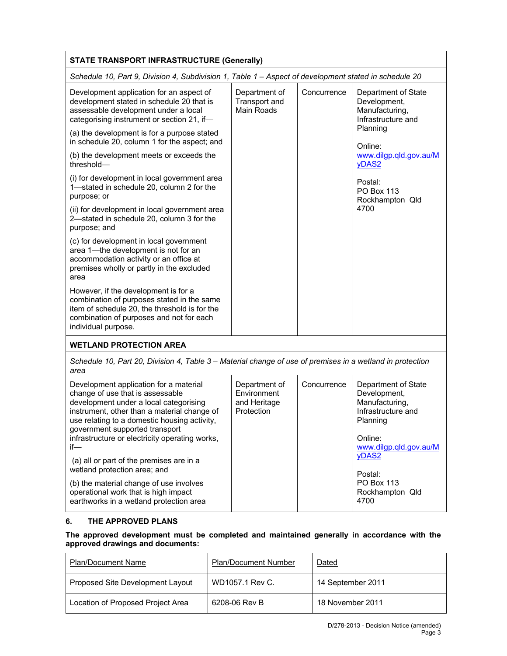| <b>STATE TRANSPORT INFRASTRUCTURE (Generally)</b>                                                                                                                                                                                                                                                              |                                                            |             |                                                                                                                              |  |
|----------------------------------------------------------------------------------------------------------------------------------------------------------------------------------------------------------------------------------------------------------------------------------------------------------------|------------------------------------------------------------|-------------|------------------------------------------------------------------------------------------------------------------------------|--|
| Schedule 10, Part 9, Division 4, Subdivision 1, Table 1 - Aspect of development stated in schedule 20                                                                                                                                                                                                          |                                                            |             |                                                                                                                              |  |
| Development application for an aspect of<br>development stated in schedule 20 that is<br>assessable development under a local<br>categorising instrument or section 21, if-                                                                                                                                    | Department of<br>Transport and<br>Main Roads               | Concurrence | Department of State<br>Development,<br>Manufacturing,<br>Infrastructure and<br>Planning                                      |  |
| (a) the development is for a purpose stated<br>in schedule 20, column 1 for the aspect; and                                                                                                                                                                                                                    |                                                            |             | Online:                                                                                                                      |  |
| (b) the development meets or exceeds the<br>threshold-                                                                                                                                                                                                                                                         |                                                            |             | www.dilgp.qld.gov.au/M<br>yDAS <sub>2</sub>                                                                                  |  |
| (i) for development in local government area<br>1-stated in schedule 20, column 2 for the<br>purpose; or                                                                                                                                                                                                       |                                                            |             | Postal:<br><b>PO Box 113</b><br>Rockhampton Qld                                                                              |  |
| (ii) for development in local government area<br>2-stated in schedule 20, column 3 for the<br>purpose; and                                                                                                                                                                                                     |                                                            |             | 4700                                                                                                                         |  |
| (c) for development in local government<br>area 1-the development is not for an<br>accommodation activity or an office at<br>premises wholly or partly in the excluded<br>area                                                                                                                                 |                                                            |             |                                                                                                                              |  |
| However, if the development is for a<br>combination of purposes stated in the same<br>item of schedule 20, the threshold is for the<br>combination of purposes and not for each<br>individual purpose.                                                                                                         |                                                            |             |                                                                                                                              |  |
| <b>WETLAND PROTECTION AREA</b>                                                                                                                                                                                                                                                                                 |                                                            |             |                                                                                                                              |  |
| Schedule 10, Part 20, Division 4, Table 3 - Material change of use of premises in a wetland in protection<br>area                                                                                                                                                                                              |                                                            |             |                                                                                                                              |  |
| Development application for a material<br>change of use that is assessable<br>development under a local categorising<br>instrument, other than a material change of<br>use relating to a domestic housing activity,<br>government supported transport<br>infrastructure or electricity operating works,<br>if— | Department of<br>Environment<br>and Heritage<br>Protection | Concurrence | Department of State<br>Development,<br>Manufacturing,<br>Infrastructure and<br>Planning<br>Online:<br>www.dilgp.qld.gov.au/M |  |
| (a) all or part of the premises are in a<br>wetland protection area; and                                                                                                                                                                                                                                       |                                                            |             | yDAS2<br>Postal:                                                                                                             |  |
| (b) the material change of use involves<br>operational work that is high impact                                                                                                                                                                                                                                |                                                            |             | <b>PO Box 113</b><br>Rockhampton Qld                                                                                         |  |

# **6. THE APPROVED PLANS**

earthworks in a wetland protection area

# **The approved development must be completed and maintained generally in accordance with the approved drawings and documents:**

| <b>Plan/Document Name</b>         | <b>Plan/Document Number</b> | Dated             |
|-----------------------------------|-----------------------------|-------------------|
| Proposed Site Development Layout  | WD1057.1 Rev C.             | 14 September 2011 |
| Location of Proposed Project Area | 6208-06 Rev B               | 18 November 2011  |

4700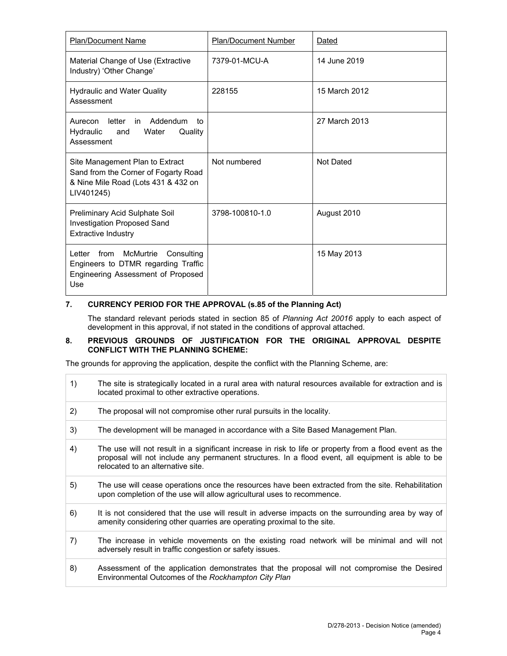| <b>Plan/Document Name</b>                                                                                                     | <b>Plan/Document Number</b> | Dated            |
|-------------------------------------------------------------------------------------------------------------------------------|-----------------------------|------------------|
| Material Change of Use (Extractive<br>Industry) 'Other Change'                                                                | 7379-01-MCU-A               | 14 June 2019     |
| <b>Hydraulic and Water Quality</b><br>Assessment                                                                              | 228155                      | 15 March 2012    |
| in Addendum<br>Aurecon<br>letter<br>to<br>Hydraulic<br>Water<br>Quality<br>and<br>Assessment                                  |                             | 27 March 2013    |
| Site Management Plan to Extract<br>Sand from the Corner of Fogarty Road<br>& Nine Mile Road (Lots 431 & 432 on<br>LIV401245)  | Not numbered                | <b>Not Dated</b> |
| Preliminary Acid Sulphate Soil<br><b>Investigation Proposed Sand</b><br><b>Extractive Industry</b>                            | 3798-100810-1.0             | August 2010      |
| Letter<br>from<br>McMurtrie<br>Consulting<br>Engineers to DTMR regarding Traffic<br>Engineering Assessment of Proposed<br>Use |                             | 15 May 2013      |

# **7. CURRENCY PERIOD FOR THE APPROVAL (s.85 of the Planning Act)**

The standard relevant periods stated in section 85 of *Planning Act 20016* apply to each aspect of development in this approval, if not stated in the conditions of approval attached.

#### **8. PREVIOUS GROUNDS OF JUSTIFICATION FOR THE ORIGINAL APPROVAL DESPITE CONFLICT WITH THE PLANNING SCHEME:**

The grounds for approving the application, despite the conflict with the Planning Scheme, are:

| 1) | The site is strategically located in a rural area with natural resources available for extraction and is<br>located proximal to other extractive operations.                                                                                      |
|----|---------------------------------------------------------------------------------------------------------------------------------------------------------------------------------------------------------------------------------------------------|
| 2) | The proposal will not compromise other rural pursuits in the locality.                                                                                                                                                                            |
| 3) | The development will be managed in accordance with a Site Based Management Plan.                                                                                                                                                                  |
| 4) | The use will not result in a significant increase in risk to life or property from a flood event as the<br>proposal will not include any permanent structures. In a flood event, all equipment is able to be<br>relocated to an alternative site. |
| 5) | The use will cease operations once the resources have been extracted from the site. Rehabilitation<br>upon completion of the use will allow agricultural uses to recommence.                                                                      |
| 6) | It is not considered that the use will result in adverse impacts on the surrounding area by way of<br>amenity considering other quarries are operating proximal to the site.                                                                      |
| 7) | The increase in vehicle movements on the existing road network will be minimal and will not<br>adversely result in traffic congestion or safety issues.                                                                                           |
| 8) | Assessment of the application demonstrates that the proposal will not compromise the Desired<br>Environmental Outcomes of the Rockhampton City Plan                                                                                               |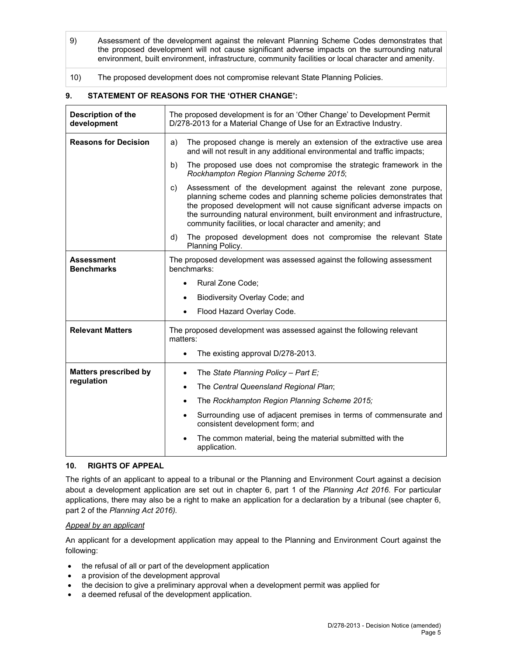- 9) Assessment of the development against the relevant Planning Scheme Codes demonstrates that the proposed development will not cause significant adverse impacts on the surrounding natural environment, built environment, infrastructure, community facilities or local character and amenity.
- 10) The proposed development does not compromise relevant State Planning Policies.

# **9. STATEMENT OF REASONS FOR THE 'OTHER CHANGE':**

| Description of the<br>development      | The proposed development is for an 'Other Change' to Development Permit<br>D/278-2013 for a Material Change of Use for an Extractive Industry.                                                                                                                                                                                                                      |  |  |
|----------------------------------------|---------------------------------------------------------------------------------------------------------------------------------------------------------------------------------------------------------------------------------------------------------------------------------------------------------------------------------------------------------------------|--|--|
| <b>Reasons for Decision</b>            | The proposed change is merely an extension of the extractive use area<br>a)<br>and will not result in any additional environmental and traffic impacts;                                                                                                                                                                                                             |  |  |
|                                        | b)<br>The proposed use does not compromise the strategic framework in the<br>Rockhampton Region Planning Scheme 2015;                                                                                                                                                                                                                                               |  |  |
|                                        | Assessment of the development against the relevant zone purpose,<br>C)<br>planning scheme codes and planning scheme policies demonstrates that<br>the proposed development will not cause significant adverse impacts on<br>the surrounding natural environment, built environment and infrastructure,<br>community facilities, or local character and amenity; and |  |  |
|                                        | The proposed development does not compromise the relevant State<br>d)<br>Planning Policy.                                                                                                                                                                                                                                                                           |  |  |
| <b>Assessment</b><br><b>Benchmarks</b> | The proposed development was assessed against the following assessment<br>benchmarks:                                                                                                                                                                                                                                                                               |  |  |
|                                        | Rural Zone Code;<br>$\bullet$                                                                                                                                                                                                                                                                                                                                       |  |  |
|                                        | Biodiversity Overlay Code; and<br>$\bullet$                                                                                                                                                                                                                                                                                                                         |  |  |
|                                        | Flood Hazard Overlay Code.                                                                                                                                                                                                                                                                                                                                          |  |  |
| <b>Relevant Matters</b>                | The proposed development was assessed against the following relevant<br>matters:                                                                                                                                                                                                                                                                                    |  |  |
|                                        | The existing approval D/278-2013.<br>$\bullet$                                                                                                                                                                                                                                                                                                                      |  |  |
| <b>Matters prescribed by</b>           | The State Planning Policy - Part E;<br>$\bullet$                                                                                                                                                                                                                                                                                                                    |  |  |
| regulation                             | The Central Queensland Regional Plan;<br>$\bullet$                                                                                                                                                                                                                                                                                                                  |  |  |
|                                        | The Rockhampton Region Planning Scheme 2015;<br>$\bullet$                                                                                                                                                                                                                                                                                                           |  |  |
|                                        | Surrounding use of adjacent premises in terms of commensurate and<br>$\bullet$<br>consistent development form; and                                                                                                                                                                                                                                                  |  |  |
|                                        | The common material, being the material submitted with the<br>application.                                                                                                                                                                                                                                                                                          |  |  |

# **10. RIGHTS OF APPEAL**

The rights of an applicant to appeal to a tribunal or the Planning and Environment Court against a decision about a development application are set out in chapter 6, part 1 of the *Planning Act 2016*. For particular applications, there may also be a right to make an application for a declaration by a tribunal (see chapter 6, part 2 of the *Planning Act 2016).*

# *Appeal by an applicant*

An applicant for a development application may appeal to the Planning and Environment Court against the following:

- the refusal of all or part of the development application
- a provision of the development approval
- the decision to give a preliminary approval when a development permit was applied for
- a deemed refusal of the development application.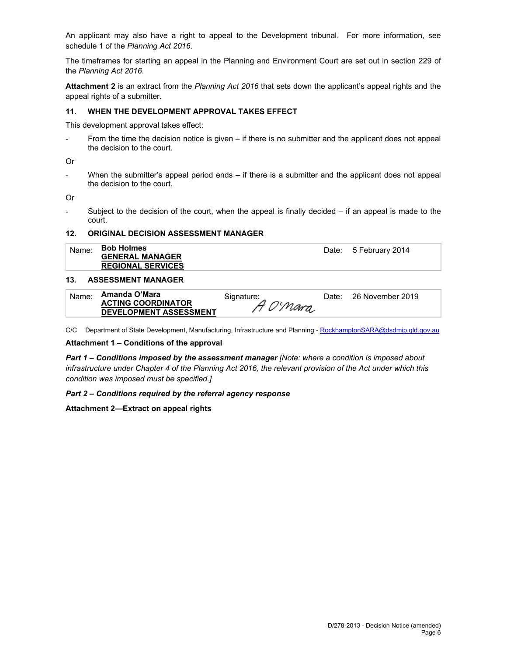An applicant may also have a right to appeal to the Development tribunal. For more information, see schedule 1 of the *Planning Act 2016*.

The timeframes for starting an appeal in the Planning and Environment Court are set out in section 229 of the *Planning Act 2016*.

**Attachment 2** is an extract from the *Planning Act 2016* that sets down the applicant's appeal rights and the appeal rights of a submitter.

#### **11. WHEN THE DEVELOPMENT APPROVAL TAKES EFFECT**

This development approval takes effect:

From the time the decision notice is given – if there is no submitter and the applicant does not appeal the decision to the court.

Or

When the submitter's appeal period ends  $-$  if there is a submitter and the applicant does not appeal the decision to the court.

Or

- Subject to the decision of the court, when the appeal is finally decided – if an appeal is made to the court.

#### **12. ORIGINAL DECISION ASSESSMENT MANAGER**

Name: **Bob Holmes GENERAL MANAGER REGIONAL SERVICES**  Date: 5 February 2014

#### **13. ASSESSMENT MANAGER**

| Name: | Amanda O'Mara                 | Signature: | Date: 26 November 2019 |
|-------|-------------------------------|------------|------------------------|
|       | <b>ACTING COORDINATOR</b>     | A O'Mara   |                        |
|       | <b>DEVELOPMENT ASSESSMENT</b> |            |                        |

C/C Department of State Development, Manufacturing, Infrastructure and Planning - RockhamptonSARA@dsdmip.qld.gov.au

#### **Attachment 1 – Conditions of the approval**

*Part 1* **–** *Conditions imposed by the assessment manager [Note: where a condition is imposed about infrastructure under Chapter 4 of the Planning Act 2016, the relevant provision of the Act under which this condition was imposed must be specified.]*

#### *Part 2 – Conditions required by the referral agency response*

#### **Attachment 2—Extract on appeal rights**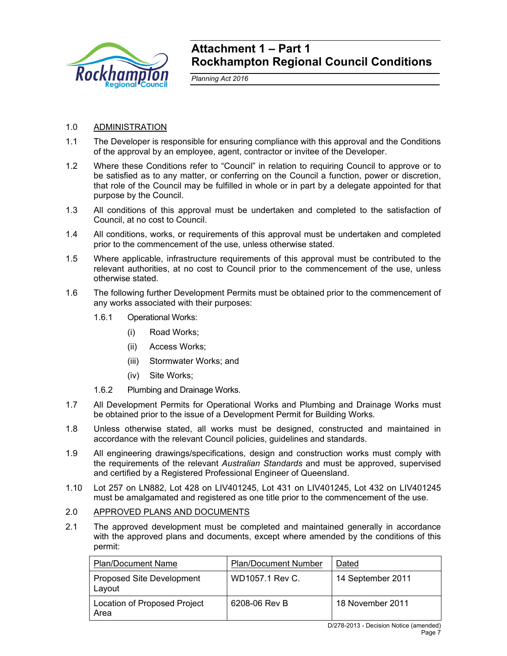

# **Attachment 1 – Part 1 Rockhampton Regional Council Conditions**

*Planning Act 2016* 

# 1.0 ADMINISTRATION

- 1.1 The Developer is responsible for ensuring compliance with this approval and the Conditions of the approval by an employee, agent, contractor or invitee of the Developer.
- 1.2 Where these Conditions refer to "Council" in relation to requiring Council to approve or to be satisfied as to any matter, or conferring on the Council a function, power or discretion, that role of the Council may be fulfilled in whole or in part by a delegate appointed for that purpose by the Council.
- 1.3 All conditions of this approval must be undertaken and completed to the satisfaction of Council, at no cost to Council.
- 1.4 All conditions, works, or requirements of this approval must be undertaken and completed prior to the commencement of the use, unless otherwise stated.
- 1.5 Where applicable, infrastructure requirements of this approval must be contributed to the relevant authorities, at no cost to Council prior to the commencement of the use, unless otherwise stated.
- 1.6 The following further Development Permits must be obtained prior to the commencement of any works associated with their purposes:
	- 1.6.1 Operational Works:
		- (i) Road Works;
		- (ii) Access Works;
		- (iii) Stormwater Works; and
		- (iv) Site Works;
	- 1.6.2 Plumbing and Drainage Works.
- 1.7 All Development Permits for Operational Works and Plumbing and Drainage Works must be obtained prior to the issue of a Development Permit for Building Works.
- 1.8 Unless otherwise stated, all works must be designed, constructed and maintained in accordance with the relevant Council policies, guidelines and standards.
- 1.9 All engineering drawings/specifications, design and construction works must comply with the requirements of the relevant *Australian Standards* and must be approved, supervised and certified by a Registered Professional Engineer of Queensland.
- 1.10 Lot 257 on LN882, Lot 428 on LIV401245, Lot 431 on LIV401245, Lot 432 on LIV401245 must be amalgamated and registered as one title prior to the commencement of the use.

# 2.0 APPROVED PLANS AND DOCUMENTS

2.1 The approved development must be completed and maintained generally in accordance with the approved plans and documents, except where amended by the conditions of this permit:

| <b>Plan/Document Name</b>                   | <b>Plan/Document Number</b> | Dated             |
|---------------------------------------------|-----------------------------|-------------------|
| <b>Proposed Site Development</b><br>Layout  | WD1057.1 Rev C.             | 14 September 2011 |
| <b>Location of Proposed Project</b><br>Area | 6208-06 Rev B               | 18 November 2011  |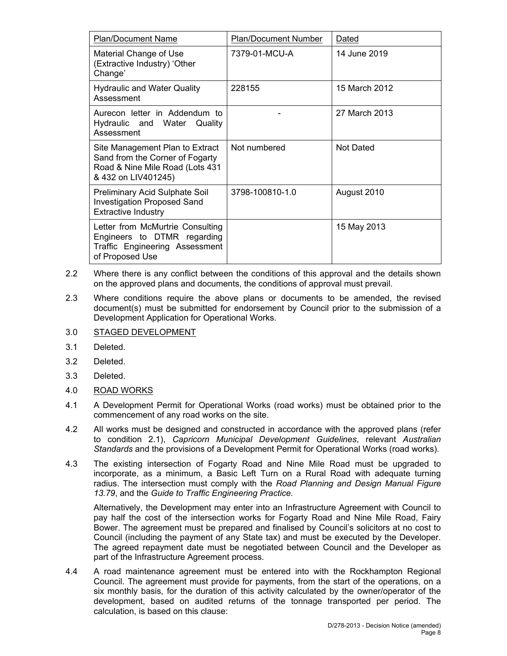| <b>Plan/Document Name</b>                                                                                                    | <b>Plan/Document Number</b> | Dated            |
|------------------------------------------------------------------------------------------------------------------------------|-----------------------------|------------------|
| Material Change of Use<br>(Extractive Industry) 'Other<br>Change'                                                            | 7379-01-MCU-A               | 14 June 2019     |
| <b>Hydraulic and Water Quality</b><br>Assessment                                                                             | 228155                      | 15 March 2012    |
| Aurecon letter in Addendum to<br>Hydraulic and Water Quality<br>Assessment                                                   |                             | 27 March 2013    |
| Site Management Plan to Extract<br>Sand from the Corner of Fogarty<br>Road & Nine Mile Road (Lots 431<br>& 432 on LIV401245) | Not numbered                | <b>Not Dated</b> |
| <b>Preliminary Acid Sulphate Soil</b><br><b>Investigation Proposed Sand</b><br><b>Extractive Industry</b>                    | 3798-100810-1.0             | August 2010      |
| Letter from McMurtrie Consulting<br>Engineers to DTMR regarding<br>Traffic Engineering Assessment<br>of Proposed Use         |                             | 15 May 2013      |

- 2.2 Where there is any conflict between the conditions of this approval and the details shown on the approved plans and documents, the conditions of approval must prevail.
- 2.3 Where conditions require the above plans or documents to be amended, the revised document(s) must be submitted for endorsement by Council prior to the submission of a Development Application for Operational Works.

# 3.0 STAGED DEVELOPMENT

- 3.1 Deleted.
- 3.2 Deleted.
- 3.3 Deleted.
- 4.0 ROAD WORKS
- 4.1 A Development Permit for Operational Works (road works) must be obtained prior to the commencement of any road works on the site.
- 4.2 All works must be designed and constructed in accordance with the approved plans (refer to condition 2.1), *Capricorn Municipal Development Guidelines*, relevant *Australian Standards* and the provisions of a Development Permit for Operational Works (road works).
- 4.3 The existing intersection of Fogarty Road and Nine Mile Road must be upgraded to incorporate, as a minimum, a Basic Left Turn on a Rural Road with adequate turning radius. The intersection must comply with the *Road Planning and Design Manual Figure 13.79*, and the *Guide to Traffic Engineering Practice.*

Alternatively, the Development may enter into an Infrastructure Agreement with Council to pay half the cost of the intersection works for Fogarty Road and Nine Mile Road, Fairy Bower. The agreement must be prepared and finalised by Council's solicitors at no cost to Council (including the payment of any State tax) and must be executed by the Developer. The agreed repayment date must be negotiated between Council and the Developer as part of the Infrastructure Agreement process.

4.4 A road maintenance agreement must be entered into with the Rockhampton Regional Council. The agreement must provide for payments, from the start of the operations, on a six monthly basis, for the duration of this activity calculated by the owner/operator of the development, based on audited returns of the tonnage transported per period. The calculation, is based on this clause: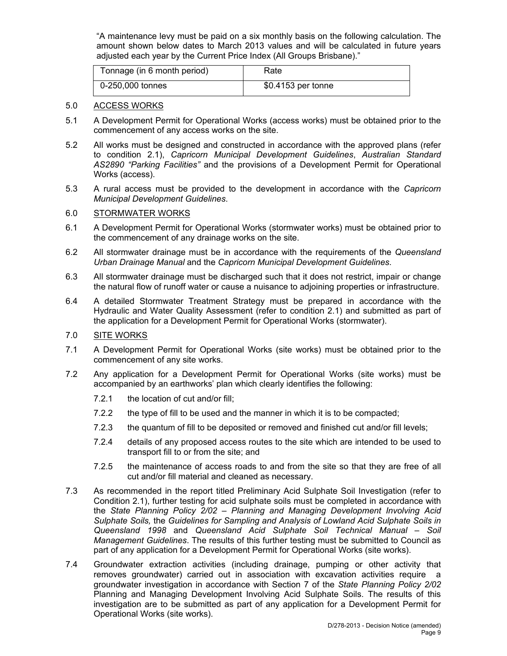"A maintenance levy must be paid on a six monthly basis on the following calculation. The amount shown below dates to March 2013 values and will be calculated in future years adjusted each year by the Current Price Index (All Groups Brisbane)."

| Tonnage (in 6 month period) | Rate               |
|-----------------------------|--------------------|
| 0-250,000 tonnes            | \$0.4153 per tonne |

# 5.0 ACCESS WORKS

- 5.1 A Development Permit for Operational Works (access works) must be obtained prior to the commencement of any access works on the site.
- 5.2 All works must be designed and constructed in accordance with the approved plans (refer to condition 2.1), *Capricorn Municipal Development Guidelines*, *Australian Standard AS2890 "Parking Facilities"* and the provisions of a Development Permit for Operational Works (access).
- 5.3 A rural access must be provided to the development in accordance with the *Capricorn Municipal Development Guidelines*.

# 6.0 STORMWATER WORKS

- 6.1 A Development Permit for Operational Works (stormwater works) must be obtained prior to the commencement of any drainage works on the site.
- 6.2 All stormwater drainage must be in accordance with the requirements of the *Queensland Urban Drainage Manual* and the *Capricorn Municipal Development Guidelines*.
- 6.3 All stormwater drainage must be discharged such that it does not restrict, impair or change the natural flow of runoff water or cause a nuisance to adjoining properties or infrastructure.
- 6.4 A detailed Stormwater Treatment Strategy must be prepared in accordance with the Hydraulic and Water Quality Assessment (refer to condition 2.1) and submitted as part of the application for a Development Permit for Operational Works (stormwater).

# 7.0 SITE WORKS

- 7.1 A Development Permit for Operational Works (site works) must be obtained prior to the commencement of any site works.
- 7.2 Any application for a Development Permit for Operational Works (site works) must be accompanied by an earthworks' plan which clearly identifies the following:
	- 7.2.1 the location of cut and/or fill:
	- 7.2.2 the type of fill to be used and the manner in which it is to be compacted;
	- 7.2.3 the quantum of fill to be deposited or removed and finished cut and/or fill levels;
	- 7.2.4 details of any proposed access routes to the site which are intended to be used to transport fill to or from the site; and
	- 7.2.5 the maintenance of access roads to and from the site so that they are free of all cut and/or fill material and cleaned as necessary.
- 7.3 As recommended in the report titled Preliminary Acid Sulphate Soil Investigation (refer to Condition 2.1), further testing for acid sulphate soils must be completed in accordance with the *State Planning Policy 2/02 – Planning and Managing Development Involving Acid Sulphate Soils,* the *Guidelines for Sampling and Analysis of Lowland Acid Sulphate Soils in Queensland 1998* and *Queensland Acid Sulphate Soil Technical Manual – Soil Management Guidelines*. The results of this further testing must be submitted to Council as part of any application for a Development Permit for Operational Works (site works).
- 7.4 Groundwater extraction activities (including drainage, pumping or other activity that removes groundwater) carried out in association with excavation activities require a groundwater investigation in accordance with Section 7 of the *State Planning Policy 2/02*  Planning and Managing Development Involving Acid Sulphate Soils. The results of this investigation are to be submitted as part of any application for a Development Permit for Operational Works (site works).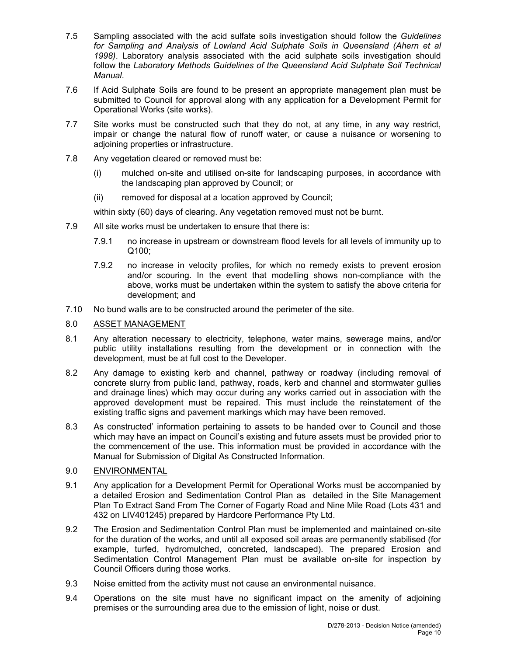- 7.5 Sampling associated with the acid sulfate soils investigation should follow the *Guidelines for Sampling and Analysis of Lowland Acid Sulphate Soils in Queensland (Ahern et al 1998)*. Laboratory analysis associated with the acid sulphate soils investigation should follow the *Laboratory Methods Guidelines of the Queensland Acid Sulphate Soil Technical Manual*.
- 7.6 If Acid Sulphate Soils are found to be present an appropriate management plan must be submitted to Council for approval along with any application for a Development Permit for Operational Works (site works).
- 7.7 Site works must be constructed such that they do not, at any time, in any way restrict, impair or change the natural flow of runoff water, or cause a nuisance or worsening to adjoining properties or infrastructure.
- 7.8 Any vegetation cleared or removed must be:
	- (i) mulched on-site and utilised on-site for landscaping purposes, in accordance with the landscaping plan approved by Council; or
	- (ii) removed for disposal at a location approved by Council;

within sixty (60) days of clearing. Any vegetation removed must not be burnt.

- 7.9 All site works must be undertaken to ensure that there is:
	- 7.9.1 no increase in upstream or downstream flood levels for all levels of immunity up to Q100;
	- 7.9.2 no increase in velocity profiles, for which no remedy exists to prevent erosion and/or scouring. In the event that modelling shows non-compliance with the above, works must be undertaken within the system to satisfy the above criteria for development; and
- 7.10 No bund walls are to be constructed around the perimeter of the site.

# 8.0 ASSET MANAGEMENT

- 8.1 Any alteration necessary to electricity, telephone, water mains, sewerage mains, and/or public utility installations resulting from the development or in connection with the development, must be at full cost to the Developer.
- 8.2 Any damage to existing kerb and channel, pathway or roadway (including removal of concrete slurry from public land, pathway, roads, kerb and channel and stormwater gullies and drainage lines) which may occur during any works carried out in association with the approved development must be repaired. This must include the reinstatement of the existing traffic signs and pavement markings which may have been removed.
- 8.3 As constructed' information pertaining to assets to be handed over to Council and those which may have an impact on Council's existing and future assets must be provided prior to the commencement of the use. This information must be provided in accordance with the Manual for Submission of Digital As Constructed Information.
- 9.0 ENVIRONMENTAL
- 9.1 Any application for a Development Permit for Operational Works must be accompanied by a detailed Erosion and Sedimentation Control Plan as detailed in the Site Management Plan To Extract Sand From The Corner of Fogarty Road and Nine Mile Road (Lots 431 and 432 on LIV401245) prepared by Hardcore Performance Pty Ltd.
- 9.2 The Erosion and Sedimentation Control Plan must be implemented and maintained on-site for the duration of the works, and until all exposed soil areas are permanently stabilised (for example, turfed, hydromulched, concreted, landscaped). The prepared Erosion and Sedimentation Control Management Plan must be available on-site for inspection by Council Officers during those works.
- 9.3 Noise emitted from the activity must not cause an environmental nuisance.
- 9.4 Operations on the site must have no significant impact on the amenity of adjoining premises or the surrounding area due to the emission of light, noise or dust.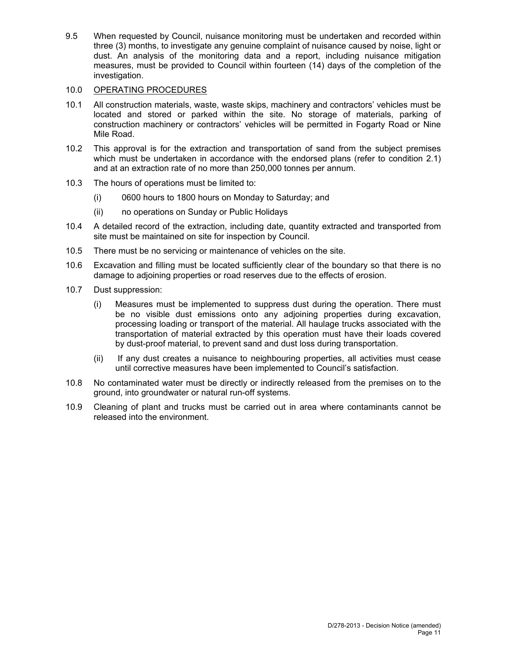9.5 When requested by Council, nuisance monitoring must be undertaken and recorded within three (3) months, to investigate any genuine complaint of nuisance caused by noise, light or dust. An analysis of the monitoring data and a report, including nuisance mitigation measures, must be provided to Council within fourteen (14) days of the completion of the investigation.

# 10.0 OPERATING PROCEDURES

- 10.1 All construction materials, waste, waste skips, machinery and contractors' vehicles must be located and stored or parked within the site. No storage of materials, parking of construction machinery or contractors' vehicles will be permitted in Fogarty Road or Nine Mile Road.
- 10.2 This approval is for the extraction and transportation of sand from the subject premises which must be undertaken in accordance with the endorsed plans (refer to condition 2.1) and at an extraction rate of no more than 250,000 tonnes per annum.
- 10.3 The hours of operations must be limited to:
	- (i) 0600 hours to 1800 hours on Monday to Saturday; and
	- (ii) no operations on Sunday or Public Holidays
- 10.4 A detailed record of the extraction, including date, quantity extracted and transported from site must be maintained on site for inspection by Council.
- 10.5 There must be no servicing or maintenance of vehicles on the site.
- 10.6 Excavation and filling must be located sufficiently clear of the boundary so that there is no damage to adjoining properties or road reserves due to the effects of erosion.
- 10.7 Dust suppression:
	- (i) Measures must be implemented to suppress dust during the operation. There must be no visible dust emissions onto any adjoining properties during excavation, processing loading or transport of the material. All haulage trucks associated with the transportation of material extracted by this operation must have their loads covered by dust-proof material, to prevent sand and dust loss during transportation.
	- (ii) If any dust creates a nuisance to neighbouring properties, all activities must cease until corrective measures have been implemented to Council's satisfaction.
- 10.8 No contaminated water must be directly or indirectly released from the premises on to the ground, into groundwater or natural run-off systems.
- 10.9 Cleaning of plant and trucks must be carried out in area where contaminants cannot be released into the environment.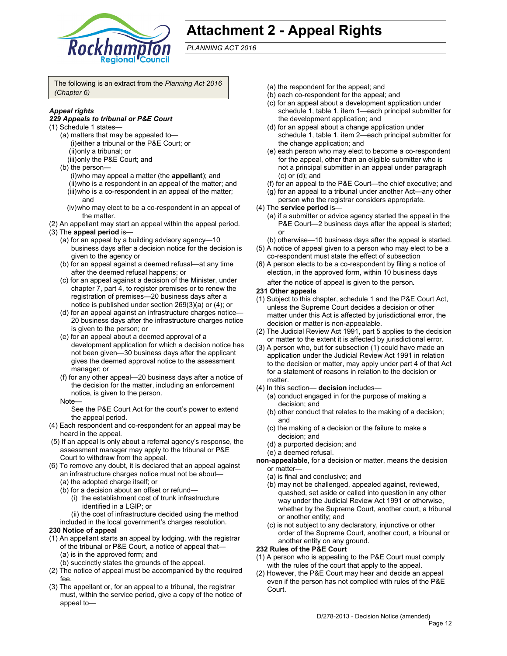

# **Attachment 2 - Appeal Rights**

*PLANNING ACT 2016*

The following is an extract from the *Planning Act 2016 (Chapter 6)*

# *Appeal rights*

#### *229 Appeals to tribunal or P&E Court*

- (1) Schedule 1 states—
	- (a) matters that may be appealed to— (i) either a tribunal or the P&E Court; or (ii) only a tribunal; or
		- (iii) only the P&E Court; and
	- (b) the person—
		- (i) who may appeal a matter (the **appellant**); and
		- (ii) who is a respondent in an appeal of the matter; and
		- (iii) who is a co-respondent in an appeal of the matter; and
		- (iv) who may elect to be a co-respondent in an appeal of the matter.
- (2) An appellant may start an appeal within the appeal period.
- (3) The **appeal period** is—
	- (a) for an appeal by a building advisory agency—10 business days after a decision notice for the decision is given to the agency or
	- (b) for an appeal against a deemed refusal—at any time after the deemed refusal happens; or
	- (c) for an appeal against a decision of the Minister, under chapter 7, part 4, to register premises or to renew the registration of premises—20 business days after a notice is published under section 269(3)(a) or (4); or
	- (d) for an appeal against an infrastructure charges notice— 20 business days after the infrastructure charges notice is given to the person; or
	- (e) for an appeal about a deemed approval of a development application for which a decision notice has not been given—30 business days after the applicant gives the deemed approval notice to the assessment manager; or
	- (f) for any other appeal—20 business days after a notice of the decision for the matter, including an enforcement notice, is given to the person.
	- Note—

See the P&E Court Act for the court's power to extend the appeal period.

- (4) Each respondent and co-respondent for an appeal may be heard in the appeal.
- (5) If an appeal is only about a referral agency's response, the assessment manager may apply to the tribunal or P&E Court to withdraw from the appeal.
- (6) To remove any doubt, it is declared that an appeal against an infrastructure charges notice must not be about—
	- (a) the adopted charge itself; or
	- (b) for a decision about an offset or refund—
		- (i) the establishment cost of trunk infrastructure identified in a LGIP; or
	- (ii) the cost of infrastructure decided using the method included in the local government's charges resolution.

#### **230 Notice of appeal**

- (1) An appellant starts an appeal by lodging, with the registrar of the tribunal or P&E Court, a notice of appeal that— (a) is in the approved form; and
	- (b) succinctly states the grounds of the appeal.
- (2) The notice of appeal must be accompanied by the required fee.
- (3) The appellant or, for an appeal to a tribunal, the registrar must, within the service period, give a copy of the notice of appeal to—
- (a) the respondent for the appeal; and
- (b) each co-respondent for the appeal; and
- (c) for an appeal about a development application under schedule 1, table 1, item 1—each principal submitter for the development application; and
- (d) for an appeal about a change application under schedule 1, table 1, item 2—each principal submitter for the change application; and
- (e) each person who may elect to become a co-respondent for the appeal, other than an eligible submitter who is not a principal submitter in an appeal under paragraph (c) or (d); and
- (f) for an appeal to the P&E Court—the chief executive; and
- (g) for an appeal to a tribunal under another Act—any other person who the registrar considers appropriate.
- (4) The **service period** is—
	- (a) if a submitter or advice agency started the appeal in the P&E Court-2 business days after the appeal is started; or
	- (b) otherwise—10 business days after the appeal is started.
- (5) A notice of appeal given to a person who may elect to be a co-respondent must state the effect of subsection
- (6) A person elects to be a co-respondent by filing a notice of election, in the approved form, within 10 business days

after the notice of appeal is given to the person*.*

- **231 Other appeals**
- (1) Subject to this chapter, schedule 1 and the P&E Court Act, unless the Supreme Court decides a decision or other matter under this Act is affected by jurisdictional error, the decision or matter is non-appealable.
- (2) The Judicial Review Act 1991, part 5 applies to the decision or matter to the extent it is affected by jurisdictional error.
- (3) A person who, but for subsection (1) could have made an application under the Judicial Review Act 1991 in relation to the decision or matter, may apply under part 4 of that Act for a statement of reasons in relation to the decision or matter.
- (4) In this section— **decision** includes—
	- (a) conduct engaged in for the purpose of making a decision; and
	- (b) other conduct that relates to the making of a decision; and
	- (c) the making of a decision or the failure to make a decision; and
	- (d) a purported decision; and
	- (e) a deemed refusal.

**non-appealable**, for a decision or matter, means the decision or matter—

- (a) is final and conclusive; and
- (b) may not be challenged, appealed against, reviewed, quashed, set aside or called into question in any other way under the Judicial Review Act 1991 or otherwise, whether by the Supreme Court, another court, a tribunal or another entity; and
- (c) is not subject to any declaratory, injunctive or other order of the Supreme Court, another court, a tribunal or another entity on any ground.

#### **232 Rules of the P&E Court**

- (1) A person who is appealing to the P&E Court must comply with the rules of the court that apply to the appeal.
- (2) However, the P&E Court may hear and decide an appeal even if the person has not complied with rules of the P&E Court.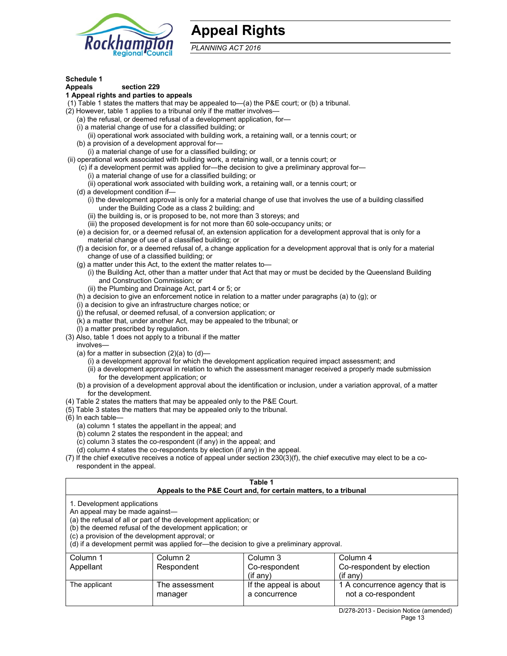

# **Appeal Rights**

*PLANNING ACT 2016*

# **Schedule 1**

# **Appeals section 229**

# **1 Appeal rights and parties to appeals**

(1) Table 1 states the matters that may be appealed to—(a) the P&E court; or (b) a tribunal.

- (2) However, table 1 applies to a tribunal only if the matter involves—
	- (a) the refusal, or deemed refusal of a development application, for—
	- (i) a material change of use for a classified building; or
	- (ii) operational work associated with building work, a retaining wall, or a tennis court; or
	- (b) a provision of a development approval for—
	- (i) a material change of use for a classified building; or
- (ii) operational work associated with building work, a retaining wall, or a tennis court; or
	- (c) if a development permit was applied for—the decision to give a preliminary approval for—
		- (i) a material change of use for a classified building; or
		- (ii) operational work associated with building work, a retaining wall, or a tennis court; or
	- (d) a development condition if—
		- (i) the development approval is only for a material change of use that involves the use of a building classified under the Building Code as a class 2 building; and
		- (ii) the building is, or is proposed to be, not more than 3 storeys; and
		- (iii) the proposed development is for not more than 60 sole-occupancy units; or
	- (e) a decision for, or a deemed refusal of, an extension application for a development approval that is only for a material change of use of a classified building; or
	- (f) a decision for, or a deemed refusal of, a change application for a development approval that is only for a material change of use of a classified building; or
	- (g) a matter under this Act, to the extent the matter relates to—
		- (i) the Building Act, other than a matter under that Act that may or must be decided by the Queensland Building and Construction Commission; or
		- (ii) the Plumbing and Drainage Act, part 4 or 5; or
	- (h) a decision to give an enforcement notice in relation to a matter under paragraphs (a) to (g); or
	- (i) a decision to give an infrastructure charges notice; or
	- (j) the refusal, or deemed refusal, of a conversion application; or
	- (k) a matter that, under another Act, may be appealed to the tribunal; or
	- (l) a matter prescribed by regulation.
- (3) Also, table 1 does not apply to a tribunal if the matter

involves—

- (a) for a matter in subsection  $(2)(a)$  to  $(d)$ 
	- (i) a development approval for which the development application required impact assessment; and
	- (ii) a development approval in relation to which the assessment manager received a properly made submission for the development application; or
- (b) a provision of a development approval about the identification or inclusion, under a variation approval, of a matter for the development.
- (4) Table 2 states the matters that may be appealed only to the P&E Court.
- (5) Table 3 states the matters that may be appealed only to the tribunal.
- (6) In each table—
	- (a) column 1 states the appellant in the appeal; and
	- (b) column 2 states the respondent in the appeal; and
	- (c) column 3 states the co-respondent (if any) in the appeal; and
	- (d) column 4 states the co-respondents by election (if any) in the appeal.
- (7) If the chief executive receives a notice of appeal under section 230(3)(f), the chief executive may elect to be a corespondent in the appeal.

| Table 1<br>Appeals to the P&E Court and, for certain matters, to a tribunal                                                                                                                                                                                                                                                                    |                           |                                         |                                                       |  |  |
|------------------------------------------------------------------------------------------------------------------------------------------------------------------------------------------------------------------------------------------------------------------------------------------------------------------------------------------------|---------------------------|-----------------------------------------|-------------------------------------------------------|--|--|
| 1. Development applications<br>An appeal may be made against-<br>(a) the refusal of all or part of the development application; or<br>(b) the deemed refusal of the development application; or<br>(c) a provision of the development approval; or<br>(d) if a development permit was applied for—the decision to give a preliminary approval. |                           |                                         |                                                       |  |  |
| Column <sub>1</sub>                                                                                                                                                                                                                                                                                                                            | Column 2                  | Column 3                                | Column 4                                              |  |  |
| Appellant                                                                                                                                                                                                                                                                                                                                      | Respondent                | Co-respondent                           | Co-respondent by election                             |  |  |
| $(if$ any)<br>$(f \text{ any})$                                                                                                                                                                                                                                                                                                                |                           |                                         |                                                       |  |  |
| The applicant                                                                                                                                                                                                                                                                                                                                  | The assessment<br>manager | If the appeal is about<br>a concurrence | 1 A concurrence agency that is<br>not a co-respondent |  |  |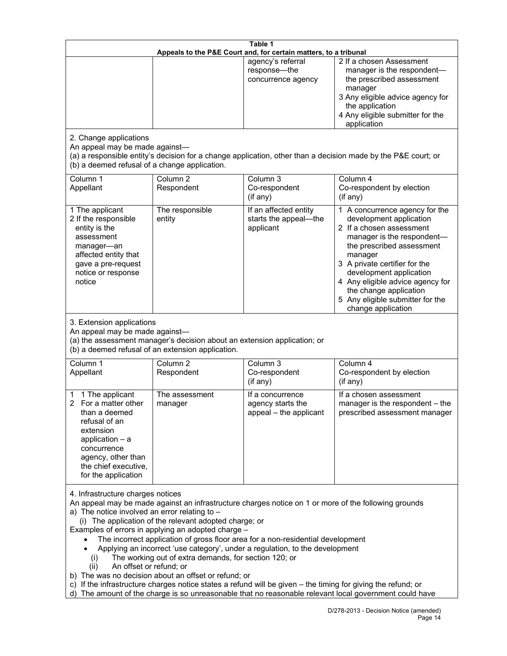| Table 1<br>Appeals to the P&E Court and, for certain matters, to a tribunal                                                                                                                                                                                                                                                                                                                                                                                                                                                                                                                                                                                                                                                                                                                                                                                        |                                                                                                                               |                                                                 |                                                                                                                                                                                                                                                                                                                                                 |  |  |
|--------------------------------------------------------------------------------------------------------------------------------------------------------------------------------------------------------------------------------------------------------------------------------------------------------------------------------------------------------------------------------------------------------------------------------------------------------------------------------------------------------------------------------------------------------------------------------------------------------------------------------------------------------------------------------------------------------------------------------------------------------------------------------------------------------------------------------------------------------------------|-------------------------------------------------------------------------------------------------------------------------------|-----------------------------------------------------------------|-------------------------------------------------------------------------------------------------------------------------------------------------------------------------------------------------------------------------------------------------------------------------------------------------------------------------------------------------|--|--|
|                                                                                                                                                                                                                                                                                                                                                                                                                                                                                                                                                                                                                                                                                                                                                                                                                                                                    |                                                                                                                               | agency's referral<br>response-the<br>concurrence agency         | 2 If a chosen Assessment<br>manager is the respondent-<br>the prescribed assessment<br>manager<br>3 Any eligible advice agency for<br>the application<br>4 Any eligible submitter for the<br>application                                                                                                                                        |  |  |
| 2. Change applications<br>An appeal may be made against-<br>(b) a deemed refusal of a change application.                                                                                                                                                                                                                                                                                                                                                                                                                                                                                                                                                                                                                                                                                                                                                          |                                                                                                                               |                                                                 | (a) a responsible entity's decision for a change application, other than a decision made by the P&E court; or                                                                                                                                                                                                                                   |  |  |
| Column 1<br>Appellant                                                                                                                                                                                                                                                                                                                                                                                                                                                                                                                                                                                                                                                                                                                                                                                                                                              | Column <sub>2</sub><br>Respondent                                                                                             | Column 3<br>Co-respondent<br>(if any)                           | Column 4<br>Co-respondent by election<br>(if any)                                                                                                                                                                                                                                                                                               |  |  |
| 1 The applicant<br>2 If the responsible<br>entity is the<br>assessment<br>manager-an<br>affected entity that<br>gave a pre-request<br>notice or response<br>notice                                                                                                                                                                                                                                                                                                                                                                                                                                                                                                                                                                                                                                                                                                 | The responsible<br>entity                                                                                                     | If an affected entity<br>starts the appeal-the<br>applicant     | 1 A concurrence agency for the<br>development application<br>2 If a chosen assessment<br>manager is the respondent-<br>the prescribed assessment<br>manager<br>3 A private certifier for the<br>development application<br>4 Any eligible advice agency for<br>the change application<br>5 Any eligible submitter for the<br>change application |  |  |
| 3. Extension applications<br>An appeal may be made against-                                                                                                                                                                                                                                                                                                                                                                                                                                                                                                                                                                                                                                                                                                                                                                                                        | (a) the assessment manager's decision about an extension application; or<br>(b) a deemed refusal of an extension application. |                                                                 |                                                                                                                                                                                                                                                                                                                                                 |  |  |
| Column 1<br>Appellant                                                                                                                                                                                                                                                                                                                                                                                                                                                                                                                                                                                                                                                                                                                                                                                                                                              | Column <sub>2</sub><br>Respondent                                                                                             | Column <sub>3</sub><br>Co-respondent<br>(if any)                | Column 4<br>Co-respondent by election<br>(if any)                                                                                                                                                                                                                                                                                               |  |  |
| 1 The applicant<br>$\overline{2}$<br>For a matter other<br>than a deemed<br>refusal of an<br>extension<br>application $-$ a<br>concurrence<br>agency, other than<br>the chief executive,<br>for the application                                                                                                                                                                                                                                                                                                                                                                                                                                                                                                                                                                                                                                                    | The assessment<br>manager                                                                                                     | If a concurrence<br>agency starts the<br>appeal - the applicant | If a chosen assessment<br>manager is the respondent – the<br>prescribed assessment manager                                                                                                                                                                                                                                                      |  |  |
| 4. Infrastructure charges notices<br>An appeal may be made against an infrastructure charges notice on 1 or more of the following grounds<br>a) The notice involved an error relating to -<br>(i) The application of the relevant adopted charge; or<br>Examples of errors in applying an adopted charge -<br>The incorrect application of gross floor area for a non-residential development<br>Applying an incorrect 'use category', under a regulation, to the development<br>The working out of extra demands, for section 120; or<br>(i)<br>An offset or refund; or<br>(ii)<br>b) The was no decision about an offset or refund; or<br>c) If the infrastructure charges notice states a refund will be given - the timing for giving the refund; or<br>d) The amount of the charge is so unreasonable that no reasonable relevant local government could have |                                                                                                                               |                                                                 |                                                                                                                                                                                                                                                                                                                                                 |  |  |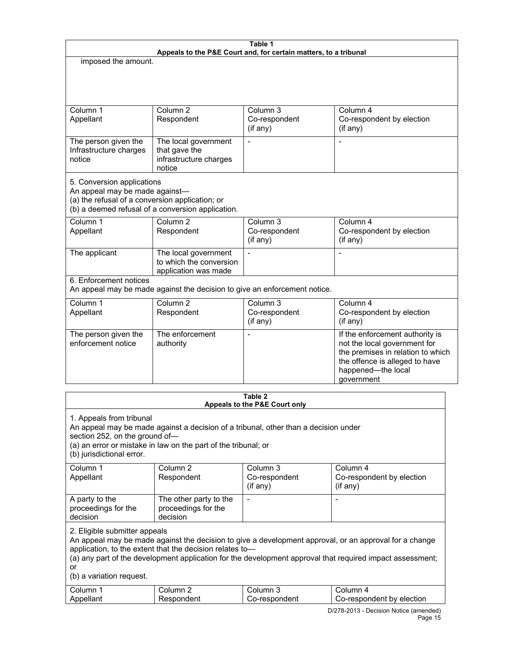| Table 1<br>Appeals to the P&E Court and, for certain matters, to a tribunal                                                                                          |                                                                         |                                                  |                                                                                                                                                                            |  |
|----------------------------------------------------------------------------------------------------------------------------------------------------------------------|-------------------------------------------------------------------------|--------------------------------------------------|----------------------------------------------------------------------------------------------------------------------------------------------------------------------------|--|
| imposed the amount.                                                                                                                                                  |                                                                         |                                                  |                                                                                                                                                                            |  |
|                                                                                                                                                                      |                                                                         |                                                  |                                                                                                                                                                            |  |
| Column 1                                                                                                                                                             | Column <sub>2</sub>                                                     | Column 3                                         | Column 4                                                                                                                                                                   |  |
| Appellant                                                                                                                                                            | Respondent                                                              | Co-respondent<br>(if any)                        | Co-respondent by election<br>(if any)                                                                                                                                      |  |
| The person given the                                                                                                                                                 | The local government                                                    |                                                  |                                                                                                                                                                            |  |
| Infrastructure charges                                                                                                                                               | that gave the                                                           |                                                  |                                                                                                                                                                            |  |
| notice                                                                                                                                                               | infrastructure charges<br>notice                                        |                                                  |                                                                                                                                                                            |  |
| 5. Conversion applications<br>An appeal may be made against-<br>(a) the refusal of a conversion application; or<br>(b) a deemed refusal of a conversion application. |                                                                         |                                                  |                                                                                                                                                                            |  |
| Column <sub>1</sub><br>Appellant                                                                                                                                     | Column <sub>2</sub><br>Respondent                                       | Column 3<br>Co-respondent<br>(if any)            | Column 4<br>Co-respondent by election<br>(if any)                                                                                                                          |  |
| The applicant                                                                                                                                                        | The local government<br>to which the conversion<br>application was made |                                                  | Ē,                                                                                                                                                                         |  |
| 6. Enforcement notices<br>An appeal may be made against the decision to give an enforcement notice.                                                                  |                                                                         |                                                  |                                                                                                                                                                            |  |
| Column <sub>1</sub><br>Appellant                                                                                                                                     | Column <sub>2</sub><br>Respondent                                       | Column <sub>3</sub><br>Co-respondent<br>(if any) | Column 4<br>Co-respondent by election<br>(if any)                                                                                                                          |  |
|                                                                                                                                                                      |                                                                         |                                                  |                                                                                                                                                                            |  |
| The person given the<br>enforcement notice                                                                                                                           | The enforcement<br>authority                                            |                                                  | If the enforcement authority is<br>not the local government for<br>the premises in relation to which<br>the offence is alleged to have<br>happened-the local<br>government |  |
| Table 2                                                                                                                                                              |                                                                         |                                                  |                                                                                                                                                                            |  |

| Table z<br>Appeals to the P&E Court only                                                                                                                                                                                                                                                                                                           |                                                                |                                                                                     |                                         |  |
|----------------------------------------------------------------------------------------------------------------------------------------------------------------------------------------------------------------------------------------------------------------------------------------------------------------------------------------------------|----------------------------------------------------------------|-------------------------------------------------------------------------------------|-----------------------------------------|--|
| 1. Appeals from tribunal<br>section 252, on the ground of-<br>(b) jurisdictional error.                                                                                                                                                                                                                                                            | (a) an error or mistake in law on the part of the tribunal; or | An appeal may be made against a decision of a tribunal, other than a decision under |                                         |  |
| Column 1                                                                                                                                                                                                                                                                                                                                           | Column 2                                                       | Column 3                                                                            | Column 4                                |  |
| Appellant                                                                                                                                                                                                                                                                                                                                          | Respondent                                                     | Co-respondent<br>$(if$ any)                                                         | Co-respondent by election<br>$(if$ any) |  |
| A party to the<br>proceedings for the<br>decision                                                                                                                                                                                                                                                                                                  | The other party to the<br>proceedings for the<br>decision      |                                                                                     |                                         |  |
| 2. Eligible submitter appeals<br>An appeal may be made against the decision to give a development approval, or an approval for a change<br>application, to the extent that the decision relates to-<br>(a) any part of the development application for the development approval that required impact assessment;<br>or<br>(b) a variation request. |                                                                |                                                                                     |                                         |  |
| Column 1                                                                                                                                                                                                                                                                                                                                           | Column 2                                                       | Column 3                                                                            | Column 4                                |  |
| Appellant                                                                                                                                                                                                                                                                                                                                          | Respondent                                                     | Co-respondent                                                                       | Co-respondent by election               |  |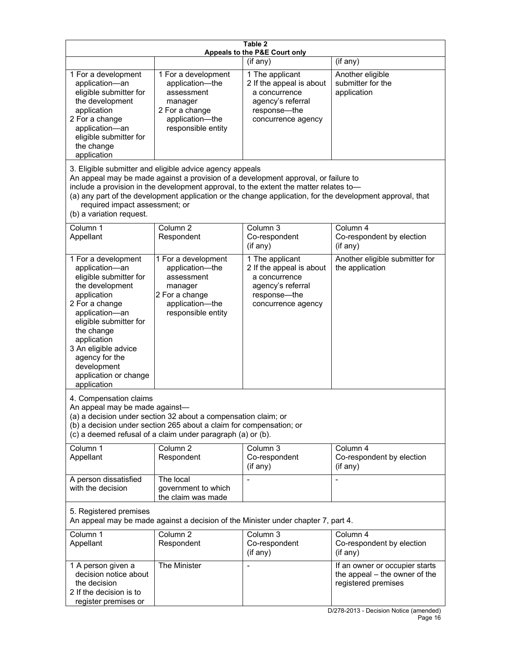| Table 2<br>Appeals to the P&E Court only                                                                                                                                                                                                                                                      |                                                                                                                                                                                                                                         |                                                                                                                         |                                                                                                                                  |  |  |
|-----------------------------------------------------------------------------------------------------------------------------------------------------------------------------------------------------------------------------------------------------------------------------------------------|-----------------------------------------------------------------------------------------------------------------------------------------------------------------------------------------------------------------------------------------|-------------------------------------------------------------------------------------------------------------------------|----------------------------------------------------------------------------------------------------------------------------------|--|--|
|                                                                                                                                                                                                                                                                                               |                                                                                                                                                                                                                                         | (if any)                                                                                                                | (if any)                                                                                                                         |  |  |
| 1 For a development<br>application-an<br>eligible submitter for<br>the development<br>application<br>2 For a change<br>application-an<br>eligible submitter for<br>the change<br>application                                                                                                  | 1 For a development<br>application-the<br>assessment<br>manager<br>2 For a change<br>application-the<br>responsible entity                                                                                                              | 1 The applicant<br>2 If the appeal is about<br>a concurrence<br>agency's referral<br>response-the<br>concurrence agency | Another eligible<br>submitter for the<br>application                                                                             |  |  |
| required impact assessment; or<br>(b) a variation request.                                                                                                                                                                                                                                    | 3. Eligible submitter and eligible advice agency appeals<br>An appeal may be made against a provision of a development approval, or failure to<br>include a provision in the development approval, to the extent the matter relates to- |                                                                                                                         | (a) any part of the development application or the change application, for the development approval, that                        |  |  |
| Column 1<br>Appellant                                                                                                                                                                                                                                                                         | Column <sub>2</sub><br>Respondent                                                                                                                                                                                                       | Column 3<br>Co-respondent<br>(if any)                                                                                   | Column 4<br>Co-respondent by election<br>$($ if any $)$                                                                          |  |  |
| 1 For a development<br>application-an<br>eligible submitter for<br>the development<br>application<br>2 For a change<br>application-an<br>eligible submitter for<br>the change<br>application<br>3 An eligible advice<br>agency for the<br>development<br>application or change<br>application | 1 For a development<br>application-the<br>assessment<br>manager<br>2 For a change<br>application-the<br>responsible entity                                                                                                              | 1 The applicant<br>2 If the appeal is about<br>a concurrence<br>agency's referral<br>response-the<br>concurrence agency | Another eligible submitter for<br>the application                                                                                |  |  |
| 4. Compensation claims<br>An appeal may be made against-                                                                                                                                                                                                                                      | (a) a decision under section 32 about a compensation claim; or<br>(b) a decision under section 265 about a claim for compensation; or<br>(c) a deemed refusal of a claim under paragraph (a) or (b).                                    |                                                                                                                         |                                                                                                                                  |  |  |
| Column 1<br>Appellant                                                                                                                                                                                                                                                                         | Column <sub>2</sub><br>Respondent                                                                                                                                                                                                       | Column 3<br>Co-respondent<br>(if any)                                                                                   | Column 4<br>Co-respondent by election<br>(if any)                                                                                |  |  |
| A person dissatisfied<br>with the decision                                                                                                                                                                                                                                                    | The local<br>government to which<br>the claim was made                                                                                                                                                                                  |                                                                                                                         |                                                                                                                                  |  |  |
| 5. Registered premises<br>An appeal may be made against a decision of the Minister under chapter 7, part 4.                                                                                                                                                                                   |                                                                                                                                                                                                                                         |                                                                                                                         |                                                                                                                                  |  |  |
| Column 1<br>Appellant                                                                                                                                                                                                                                                                         | Column 2<br>Respondent                                                                                                                                                                                                                  | Column 3<br>Co-respondent<br>(if any)                                                                                   | Column 4<br>Co-respondent by election<br>(if any)                                                                                |  |  |
| 1 A person given a<br>decision notice about<br>the decision<br>2 If the decision is to<br>register premises or                                                                                                                                                                                | The Minister                                                                                                                                                                                                                            |                                                                                                                         | If an owner or occupier starts<br>the appeal – the owner of the<br>registered premises<br>D/278-2013 - Decision Notice (amended) |  |  |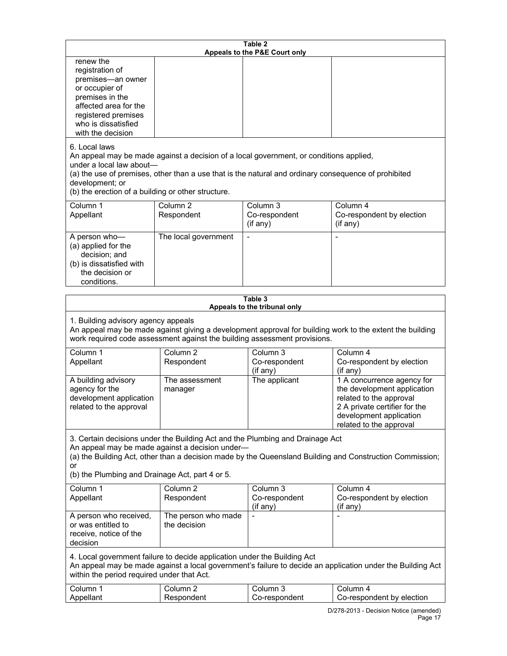|                                                                                                                                                                                                                                                                                                                      |                                     | Table 2<br>Appeals to the P&E Court only |                                                                                                                                                                             |  |  |
|----------------------------------------------------------------------------------------------------------------------------------------------------------------------------------------------------------------------------------------------------------------------------------------------------------------------|-------------------------------------|------------------------------------------|-----------------------------------------------------------------------------------------------------------------------------------------------------------------------------|--|--|
| renew the<br>registration of<br>premises-an owner<br>or occupier of<br>premises in the<br>affected area for the<br>registered premises<br>who is dissatisfied<br>with the decision                                                                                                                                   |                                     |                                          |                                                                                                                                                                             |  |  |
| 6. Local laws<br>An appeal may be made against a decision of a local government, or conditions applied,<br>under a local law about-<br>(a) the use of premises, other than a use that is the natural and ordinary consequence of prohibited<br>development; or<br>(b) the erection of a building or other structure. |                                     |                                          |                                                                                                                                                                             |  |  |
| Column 1<br>Appellant                                                                                                                                                                                                                                                                                                | Column <sub>2</sub><br>Respondent   | Column 3<br>Co-respondent<br>(if any)    | Column 4<br>Co-respondent by election<br>(if any)                                                                                                                           |  |  |
| A person who-<br>(a) applied for the<br>decision; and<br>(b) is dissatisfied with<br>the decision or<br>conditions.                                                                                                                                                                                                  | The local government                |                                          |                                                                                                                                                                             |  |  |
|                                                                                                                                                                                                                                                                                                                      |                                     | Table 3<br>Appeals to the tribunal only  |                                                                                                                                                                             |  |  |
| 1. Building advisory agency appeals<br>work required code assessment against the building assessment provisions.                                                                                                                                                                                                     |                                     |                                          | An appeal may be made against giving a development approval for building work to the extent the building                                                                    |  |  |
| Column 1<br>Appellant                                                                                                                                                                                                                                                                                                | Column <sub>2</sub><br>Respondent   | Column 3<br>Co-respondent<br>(if any)    | Column 4<br>Co-respondent by election<br>(if any)                                                                                                                           |  |  |
| A building advisory<br>agency for the<br>development application<br>related to the approval                                                                                                                                                                                                                          | The assessment<br>manager           | The applicant                            | 1 A concurrence agency for<br>the development application<br>related to the approval<br>2 A private certifier for the<br>development application<br>related to the approval |  |  |
| 3. Certain decisions under the Building Act and the Plumbing and Drainage Act<br>An appeal may be made against a decision under-<br>(a) the Building Act, other than a decision made by the Queensland Building and Construction Commission;<br>or                                                                   |                                     |                                          |                                                                                                                                                                             |  |  |
| (b) the Plumbing and Drainage Act, part 4 or 5.                                                                                                                                                                                                                                                                      |                                     |                                          |                                                                                                                                                                             |  |  |
| Column 1<br>Appellant                                                                                                                                                                                                                                                                                                | Column 2<br>Respondent              | Column 3<br>Co-respondent<br>(if any)    | Column 4<br>Co-respondent by election<br>(if any)                                                                                                                           |  |  |
| A person who received,<br>or was entitled to<br>receive, notice of the<br>decision                                                                                                                                                                                                                                   | The person who made<br>the decision |                                          |                                                                                                                                                                             |  |  |
| 4. Local government failure to decide application under the Building Act<br>An appeal may be made against a local government's failure to decide an application under the Building Act<br>within the period required under that Act.                                                                                 |                                     |                                          |                                                                                                                                                                             |  |  |
| Column 1<br>Appellant                                                                                                                                                                                                                                                                                                | Column <sub>2</sub><br>Respondent   | Column 3<br>Co-respondent                | Column 4<br>Co-respondent by election                                                                                                                                       |  |  |